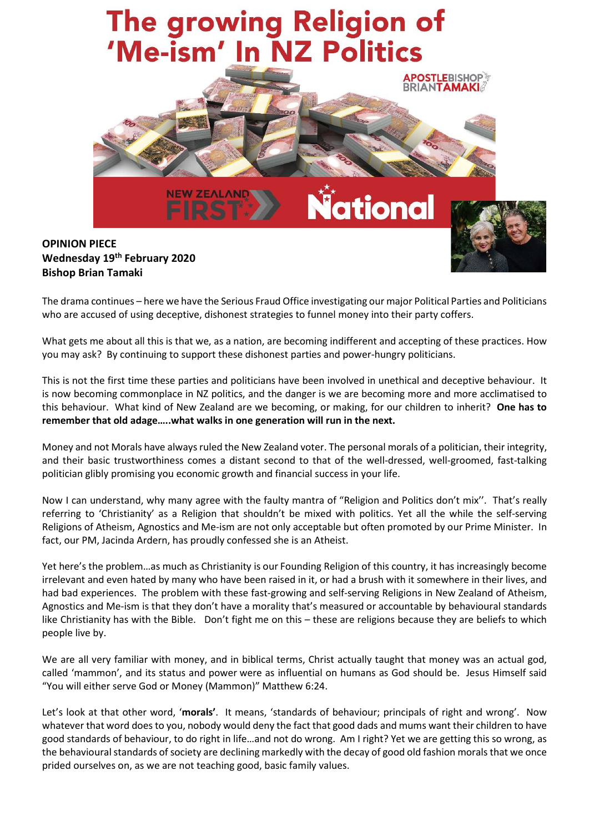

## OPINION PIECE Wednesday 19<sup>th</sup> February 2020 Bishop Brian Tamaki

The drama continues – here we have the Serious Fraud Office investigating our major Political Parties and Politicians who are accused of using deceptive, dishonest strategies to funnel money into their party coffers.

What gets me about all this is that we, as a nation, are becoming indifferent and accepting of these practices. How you may ask? By continuing to support these dishonest parties and power-hungry politicians.

This is not the first time these parties and politicians have been involved in unethical and deceptive behaviour. It is now becoming commonplace in NZ politics, and the danger is we are becoming more and more acclimatised to this behaviour. What kind of New Zealand are we becoming, or making, for our children to inherit? One has to remember that old adage…..what walks in one generation will run in the next.

Money and not Morals have always ruled the New Zealand voter. The personal morals of a politician, their integrity, and their basic trustworthiness comes a distant second to that of the well-dressed, well-groomed, fast-talking politician glibly promising you economic growth and financial success in your life.

Now I can understand, why many agree with the faulty mantra of "Religion and Politics don't mix''. That's really referring to 'Christianity' as a Religion that shouldn't be mixed with politics. Yet all the while the self-serving Religions of Atheism, Agnostics and Me-ism are not only acceptable but often promoted by our Prime Minister. In fact, our PM, Jacinda Ardern, has proudly confessed she is an Atheist.

Yet here's the problem…as much as Christianity is our Founding Religion of this country, it has increasingly become irrelevant and even hated by many who have been raised in it, or had a brush with it somewhere in their lives, and had bad experiences. The problem with these fast-growing and self-serving Religions in New Zealand of Atheism, Agnostics and Me-ism is that they don't have a morality that's measured or accountable by behavioural standards like Christianity has with the Bible. Don't fight me on this – these are religions because they are beliefs to which people live by.

We are all very familiar with money, and in biblical terms, Christ actually taught that money was an actual god, called 'mammon', and its status and power were as influential on humans as God should be. Jesus Himself said "You will either serve God or Money (Mammon)" Matthew 6:24.

Let's look at that other word, 'morals'. It means, 'standards of behaviour; principals of right and wrong'. Now whatever that word does to you, nobody would deny the fact that good dads and mums want their children to have good standards of behaviour, to do right in life…and not do wrong. Am I right? Yet we are getting this so wrong, as the behavioural standards of society are declining markedly with the decay of good old fashion morals that we once prided ourselves on, as we are not teaching good, basic family values.